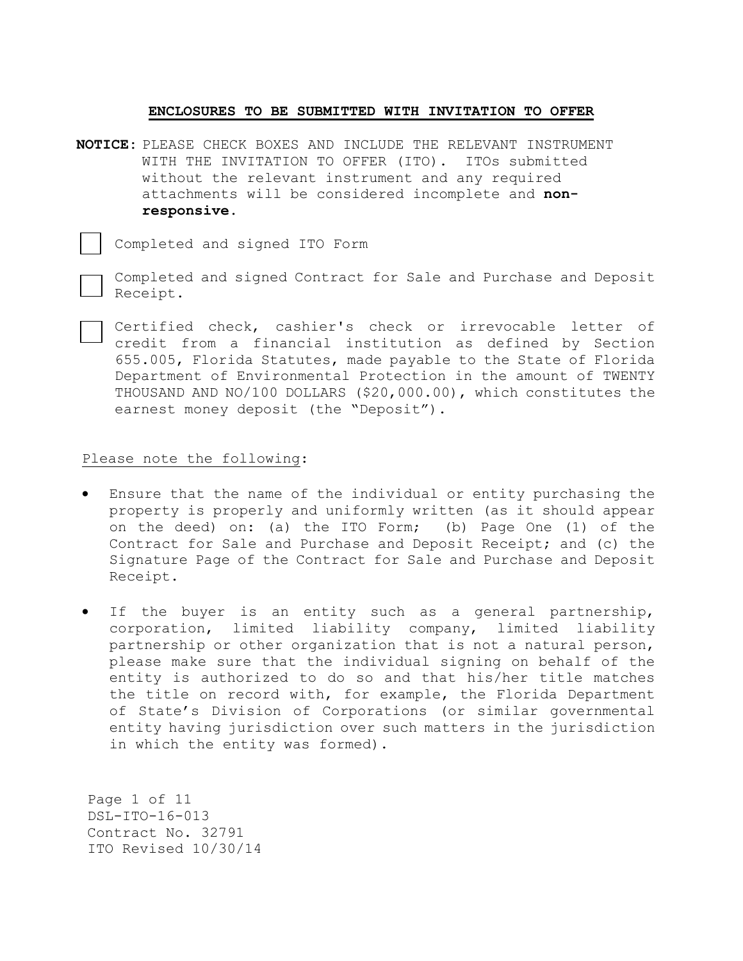## **ENCLOSURES TO BE SUBMITTED WITH INVITATION TO OFFER**

**NOTICE:** PLEASE CHECK BOXES AND INCLUDE THE RELEVANT INSTRUMENT WITH THE INVITATION TO OFFER (ITO). ITOs submitted without the relevant instrument and any required attachments will be considered incomplete and **nonresponsive.**

Completed and signed ITO Form

Completed and signed Contract for Sale and Purchase and Deposit Receipt.

Certified check, cashier's check or irrevocable letter of credit from a financial institution as defined by Section 655.005, Florida Statutes, made payable to the State of Florida Department of Environmental Protection in the amount of TWENTY THOUSAND AND NO/100 DOLLARS (\$20,000.00), which constitutes the earnest money deposit (the "Deposit").

# Please note the following:

- Ensure that the name of the individual or entity purchasing the property is properly and uniformly written (as it should appear on the deed) on: (a) the ITO Form; (b) Page One (1) of the Contract for Sale and Purchase and Deposit Receipt; and (c) the Signature Page of the Contract for Sale and Purchase and Deposit Receipt.
- If the buyer is an entity such as a general partnership, corporation, limited liability company, limited liability partnership or other organization that is not a natural person, please make sure that the individual signing on behalf of the entity is authorized to do so and that his/her title matches the title on record with, for example, the Florida Department of State's Division of Corporations (or similar governmental entity having jurisdiction over such matters in the jurisdiction in which the entity was formed).

Page 1 of 11 DSL-ITO-16-013 Contract No. 32791 ITO Revised 10/30/14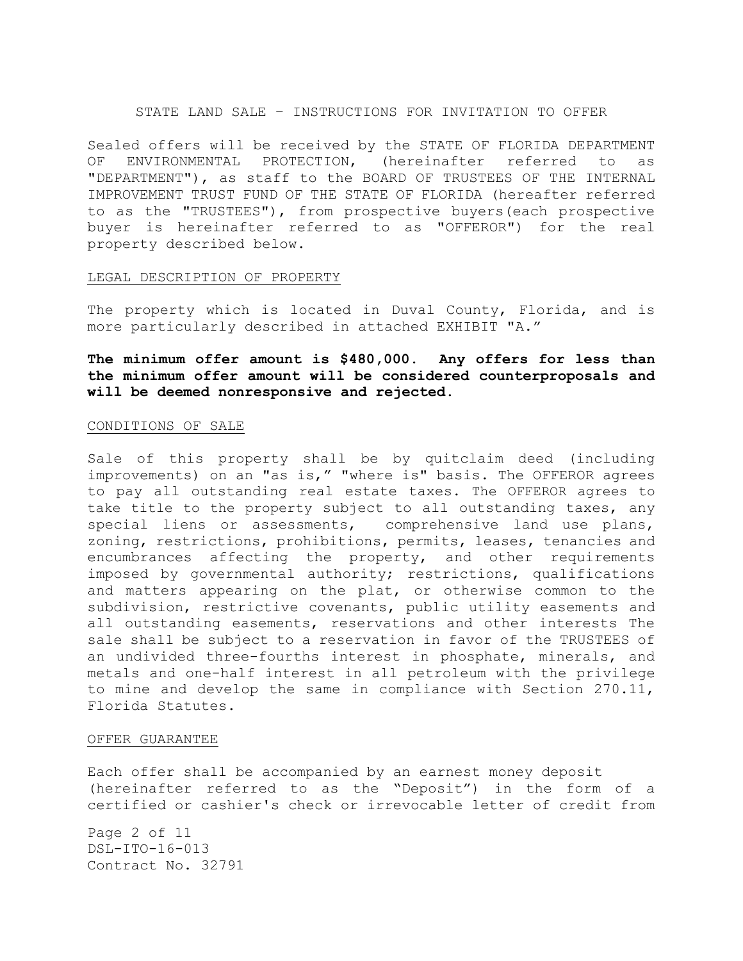## STATE LAND SALE – INSTRUCTIONS FOR INVITATION TO OFFER

Sealed offers will be received by the STATE OF FLORIDA DEPARTMENT OF ENVIRONMENTAL PROTECTION, (hereinafter referred to as "DEPARTMENT"), as staff to the BOARD OF TRUSTEES OF THE INTERNAL IMPROVEMENT TRUST FUND OF THE STATE OF FLORIDA (hereafter referred to as the "TRUSTEES"), from prospective buyers(each prospective buyer is hereinafter referred to as "OFFEROR") for the real property described below.

## LEGAL DESCRIPTION OF PROPERTY

The property which is located in Duval County, Florida, and is more particularly described in attached EXHIBIT "A."

**The minimum offer amount is \$480,000. Any offers for less than the minimum offer amount will be considered counterproposals and will be deemed nonresponsive and rejected.**

#### CONDITIONS OF SALE

Sale of this property shall be by quitclaim deed (including improvements) on an "as is," "where is" basis. The OFFEROR agrees to pay all outstanding real estate taxes. The OFFEROR agrees to take title to the property subject to all outstanding taxes, any special liens or assessments, comprehensive land use plans, zoning, restrictions, prohibitions, permits, leases, tenancies and encumbrances affecting the property, and other requirements imposed by governmental authority; restrictions, qualifications and matters appearing on the plat, or otherwise common to the subdivision, restrictive covenants, public utility easements and all outstanding easements, reservations and other interests The sale shall be subject to a reservation in favor of the TRUSTEES of an undivided three-fourths interest in phosphate, minerals, and metals and one-half interest in all petroleum with the privilege to mine and develop the same in compliance with Section 270.11, Florida Statutes.

# OFFER GUARANTEE

Each offer shall be accompanied by an earnest money deposit (hereinafter referred to as the "Deposit") in the form of a certified or cashier's check or irrevocable letter of credit from

Page 2 of 11 DSL-ITO-16-013 Contract No. 32791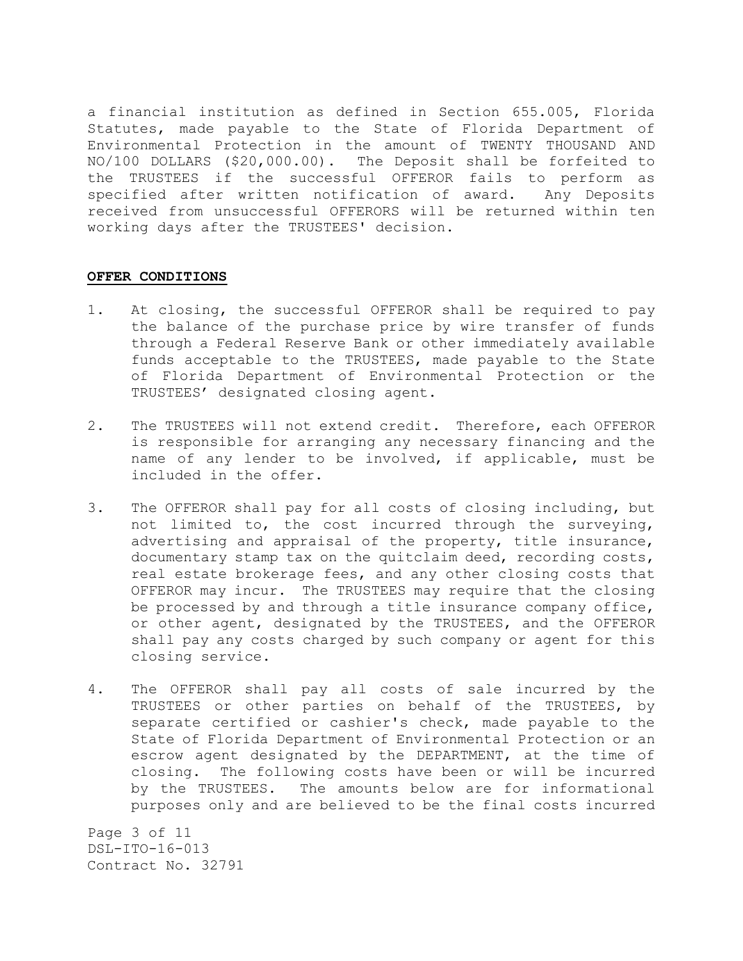a financial institution as defined in Section 655.005, Florida Statutes, made payable to the State of Florida Department of Environmental Protection in the amount of TWENTY THOUSAND AND NO/100 DOLLARS (\$20,000.00). The Deposit shall be forfeited to the TRUSTEES if the successful OFFEROR fails to perform as specified after written notification of award. Any Deposits received from unsuccessful OFFERORS will be returned within ten working days after the TRUSTEES' decision.

# **OFFER CONDITIONS**

- 1. At closing, the successful OFFEROR shall be required to pay the balance of the purchase price by wire transfer of funds through a Federal Reserve Bank or other immediately available funds acceptable to the TRUSTEES, made payable to the State of Florida Department of Environmental Protection or the TRUSTEES' designated closing agent.
- 2. The TRUSTEES will not extend credit. Therefore, each OFFEROR is responsible for arranging any necessary financing and the name of any lender to be involved, if applicable, must be included in the offer.
- 3. The OFFEROR shall pay for all costs of closing including, but not limited to, the cost incurred through the surveying, advertising and appraisal of the property, title insurance, documentary stamp tax on the quitclaim deed, recording costs, real estate brokerage fees, and any other closing costs that OFFEROR may incur. The TRUSTEES may require that the closing be processed by and through a title insurance company office, or other agent, designated by the TRUSTEES, and the OFFEROR shall pay any costs charged by such company or agent for this closing service.
- 4. The OFFEROR shall pay all costs of sale incurred by the TRUSTEES or other parties on behalf of the TRUSTEES, by separate certified or cashier's check, made payable to the State of Florida Department of Environmental Protection or an escrow agent designated by the DEPARTMENT, at the time of closing. The following costs have been or will be incurred by the TRUSTEES. The amounts below are for informational purposes only and are believed to be the final costs incurred

Page 3 of 11 DSL-ITO-16-013 Contract No. 32791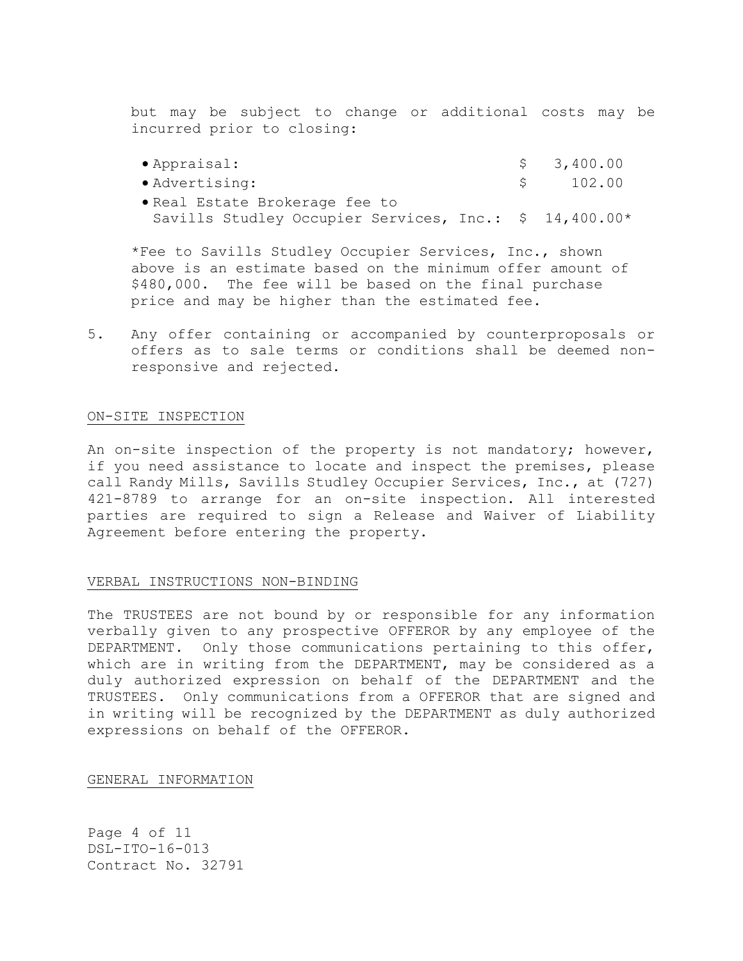but may be subject to change or additional costs may be incurred prior to closing:

| $\bullet$ Appraisal:                                   | \$3,400.00 |
|--------------------------------------------------------|------------|
| • Advertising:                                         | \$102.00   |
| • Real Estate Brokerage fee to                         |            |
| Savills Studley Occupier Services, Inc.: \$ 14,400.00* |            |

\*Fee to Savills Studley Occupier Services, Inc., shown above is an estimate based on the minimum offer amount of \$480,000. The fee will be based on the final purchase price and may be higher than the estimated fee.

5. Any offer containing or accompanied by counterproposals or offers as to sale terms or conditions shall be deemed nonresponsive and rejected.

## ON-SITE INSPECTION

An on-site inspection of the property is not mandatory; however, if you need assistance to locate and inspect the premises, please call Randy Mills, Savills Studley Occupier Services, Inc., at (727) 421-8789 to arrange for an on-site inspection. All interested parties are required to sign a Release and Waiver of Liability Agreement before entering the property.

## VERBAL INSTRUCTIONS NON-BINDING

The TRUSTEES are not bound by or responsible for any information verbally given to any prospective OFFEROR by any employee of the DEPARTMENT. Only those communications pertaining to this offer, which are in writing from the DEPARTMENT, may be considered as a duly authorized expression on behalf of the DEPARTMENT and the TRUSTEES. Only communications from a OFFEROR that are signed and in writing will be recognized by the DEPARTMENT as duly authorized expressions on behalf of the OFFEROR.

GENERAL INFORMATION

Page 4 of 11 DSL-ITO-16-013 Contract No. 32791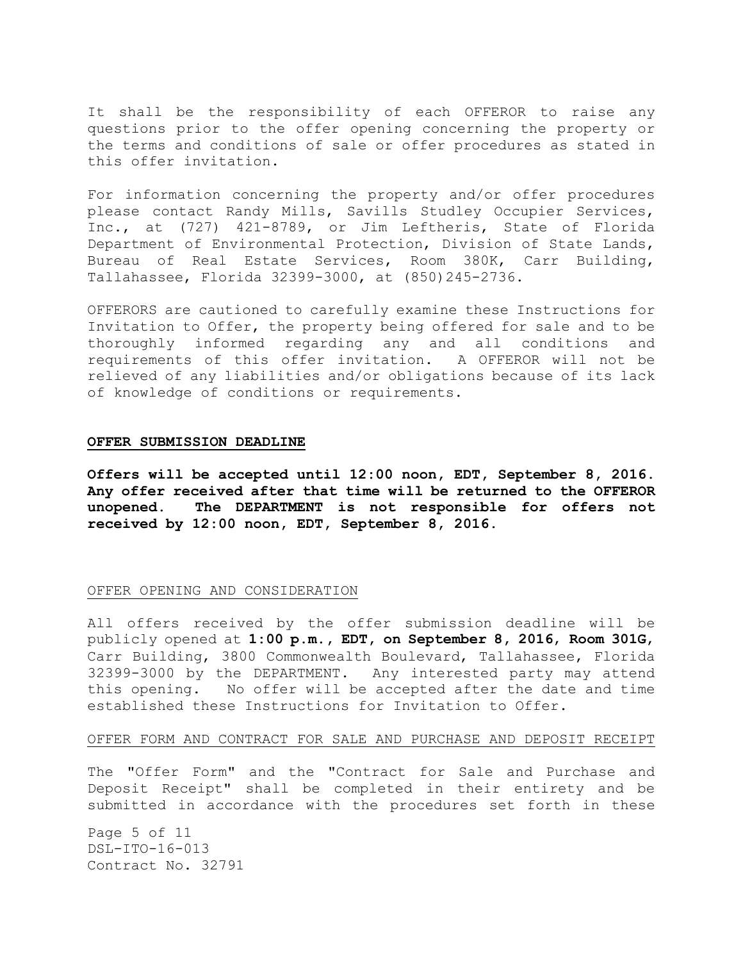It shall be the responsibility of each OFFEROR to raise any questions prior to the offer opening concerning the property or the terms and conditions of sale or offer procedures as stated in this offer invitation.

For information concerning the property and/or offer procedures please contact Randy Mills, Savills Studley Occupier Services, Inc., at (727) 421-8789, or Jim Leftheris, State of Florida Department of Environmental Protection, Division of State Lands, Bureau of Real Estate Services, Room 380K, Carr Building, Tallahassee, Florida 32399-3000, at (850)245-2736.

OFFERORS are cautioned to carefully examine these Instructions for Invitation to Offer, the property being offered for sale and to be thoroughly informed regarding any and all conditions and requirements of this offer invitation. A OFFEROR will not be relieved of any liabilities and/or obligations because of its lack of knowledge of conditions or requirements.

#### **OFFER SUBMISSION DEADLINE**

**Offers will be accepted until 12:00 noon, EDT, September 8, 2016. Any offer received after that time will be returned to the OFFEROR unopened. The DEPARTMENT is not responsible for offers not received by 12:00 noon, EDT, September 8, 2016.**

## OFFER OPENING AND CONSIDERATION

All offers received by the offer submission deadline will be publicly opened at **1:00 p.m., EDT, on September 8, 2016**, **Room 301G**, Carr Building, 3800 Commonwealth Boulevard, Tallahassee, Florida 32399-3000 by the DEPARTMENT. Any interested party may attend this opening. No offer will be accepted after the date and time established these Instructions for Invitation to Offer.

## OFFER FORM AND CONTRACT FOR SALE AND PURCHASE AND DEPOSIT RECEIPT

The "Offer Form" and the "Contract for Sale and Purchase and Deposit Receipt" shall be completed in their entirety and be submitted in accordance with the procedures set forth in these

Page 5 of 11 DSL-ITO-16-013 Contract No. 32791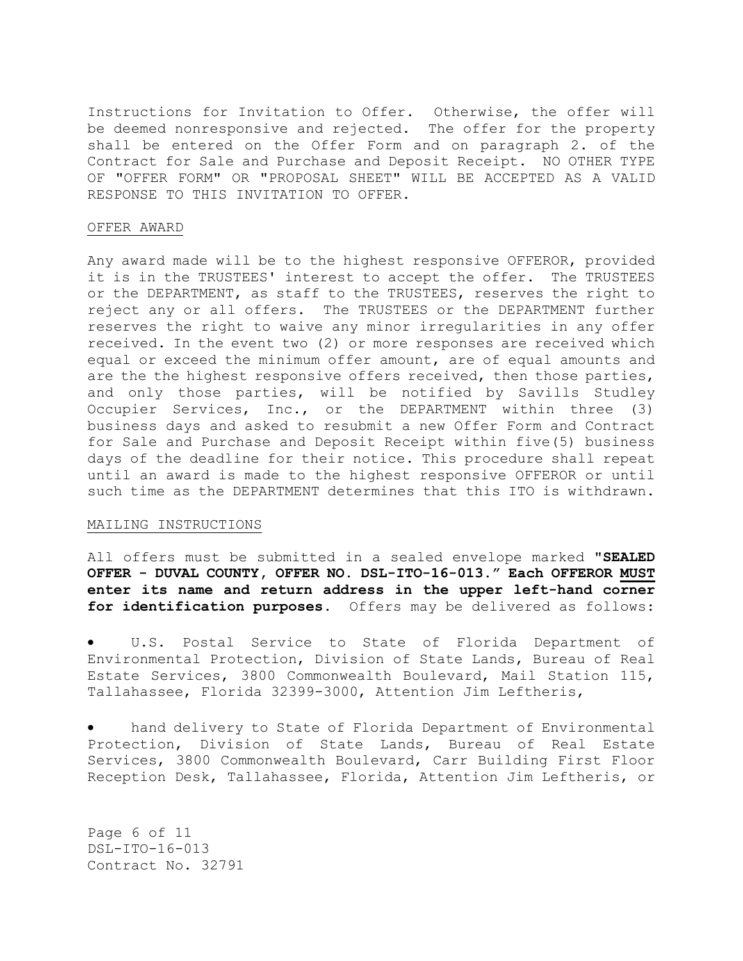Instructions for Invitation to Offer. Otherwise, the offer will be deemed nonresponsive and rejected. The offer for the property shall be entered on the Offer Form and on paragraph 2. of the Contract for Sale and Purchase and Deposit Receipt. NO OTHER TYPE OF "OFFER FORM" OR "PROPOSAL SHEET" WILL BE ACCEPTED AS A VALID RESPONSE TO THIS INVITATION TO OFFER.

# OFFER AWARD

Any award made will be to the highest responsive OFFEROR, provided it is in the TRUSTEES' interest to accept the offer. The TRUSTEES or the DEPARTMENT, as staff to the TRUSTEES, reserves the right to reject any or all offers. The TRUSTEES or the DEPARTMENT further reserves the right to waive any minor irregularities in any offer received. In the event two (2) or more responses are received which equal or exceed the minimum offer amount, are of equal amounts and are the the highest responsive offers received, then those parties, and only those parties, will be notified by Savills Studley Occupier Services, Inc., or the DEPARTMENT within three (3) business days and asked to resubmit a new Offer Form and Contract for Sale and Purchase and Deposit Receipt within five(5) business days of the deadline for their notice. This procedure shall repeat until an award is made to the highest responsive OFFEROR or until such time as the DEPARTMENT determines that this ITO is withdrawn.

# MAILING INSTRUCTIONS

All offers must be submitted in a sealed envelope marked **"SEALED OFFER - DUVAL COUNTY, OFFER NO. DSL-ITO-16-013." Each OFFEROR MUST enter its name and return address in the upper left-hand corner for identification purposes.** Offers may be delivered as follows:

 U.S. Postal Service to State of Florida Department of Environmental Protection, Division of State Lands, Bureau of Real Estate Services, 3800 Commonwealth Boulevard, Mail Station 115, Tallahassee, Florida 32399-3000, Attention Jim Leftheris,

 hand delivery to State of Florida Department of Environmental Protection, Division of State Lands, Bureau of Real Estate Services, 3800 Commonwealth Boulevard, Carr Building First Floor Reception Desk, Tallahassee, Florida, Attention Jim Leftheris, or

Page 6 of 11 DSL-ITO-16-013 Contract No. 32791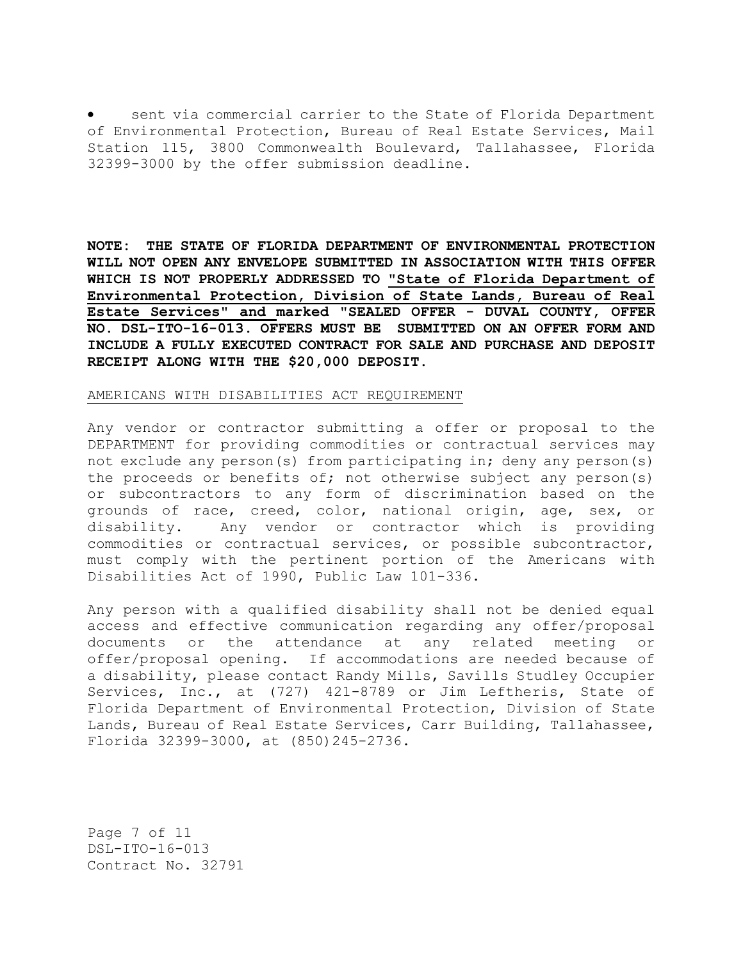sent via commercial carrier to the State of Florida Department of Environmental Protection, Bureau of Real Estate Services, Mail Station 115, 3800 Commonwealth Boulevard, Tallahassee, Florida 32399-3000 by the offer submission deadline.

**NOTE: THE STATE OF FLORIDA DEPARTMENT OF ENVIRONMENTAL PROTECTION WILL NOT OPEN ANY ENVELOPE SUBMITTED IN ASSOCIATION WITH THIS OFFER WHICH IS NOT PROPERLY ADDRESSED TO "State of Florida Department of Environmental Protection, Division of State Lands, Bureau of Real Estate Services" and marked** "**SEALED OFFER - DUVAL COUNTY, OFFER NO. DSL-ITO-16-013. OFFERS MUST BE SUBMITTED ON AN OFFER FORM AND INCLUDE A FULLY EXECUTED CONTRACT FOR SALE AND PURCHASE AND DEPOSIT RECEIPT ALONG WITH THE \$20,000 DEPOSIT.**

#### AMERICANS WITH DISABILITIES ACT REQUIREMENT

Any vendor or contractor submitting a offer or proposal to the DEPARTMENT for providing commodities or contractual services may not exclude any person(s) from participating in; deny any person(s) the proceeds or benefits of; not otherwise subject any person(s) or subcontractors to any form of discrimination based on the grounds of race, creed, color, national origin, age, sex, or disability. Any vendor or contractor which is providing commodities or contractual services, or possible subcontractor, must comply with the pertinent portion of the Americans with Disabilities Act of 1990, Public Law 101-336.

Any person with a qualified disability shall not be denied equal access and effective communication regarding any offer/proposal documents or the attendance at any related meeting or offer/proposal opening. If accommodations are needed because of a disability, please contact Randy Mills, Savills Studley Occupier Services, Inc., at (727) 421-8789 or Jim Leftheris, State of Florida Department of Environmental Protection, Division of State Lands, Bureau of Real Estate Services, Carr Building, Tallahassee, Florida 32399-3000, at (850)245-2736.

Page 7 of 11 DSL-ITO-16-013 Contract No. 32791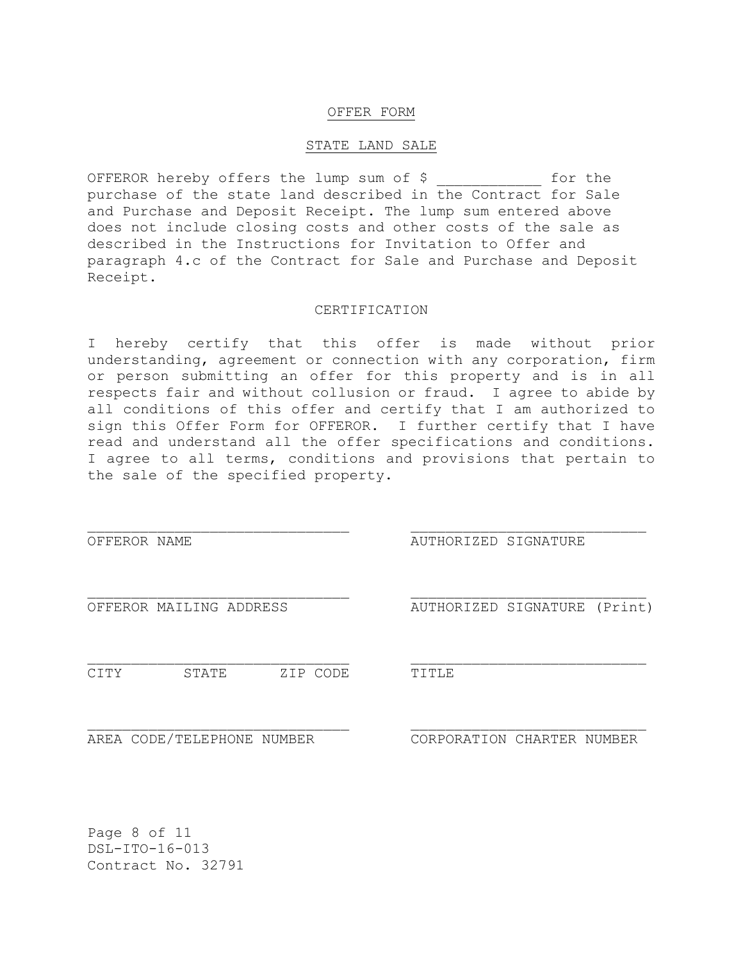## OFFER FORM

#### STATE LAND SALE

OFFEROR hereby offers the lump sum of \$ for the purchase of the state land described in the Contract for Sale and Purchase and Deposit Receipt. The lump sum entered above does not include closing costs and other costs of the sale as described in the Instructions for Invitation to Offer and paragraph 4.c of the Contract for Sale and Purchase and Deposit Receipt.

# CERTIFICATION

I hereby certify that this offer is made without prior understanding, agreement or connection with any corporation, firm or person submitting an offer for this property and is in all respects fair and without collusion or fraud. I agree to abide by all conditions of this offer and certify that I am authorized to sign this Offer Form for OFFEROR. I further certify that I have read and understand all the offer specifications and conditions. I agree to all terms, conditions and provisions that pertain to the sale of the specified property.

OFFEROR NAME **AUTHORIZED** SIGNATURE

OFFEROR MAILING ADDRESS AUTHORIZED SIGNATURE (Print)

CITY STATE ZIP CODE TITLE

AREA CODE/TELEPHONE NUMBER CORPORATION CHARTER NUMBER

Page 8 of 11 DSL-ITO-16-013 Contract No. 32791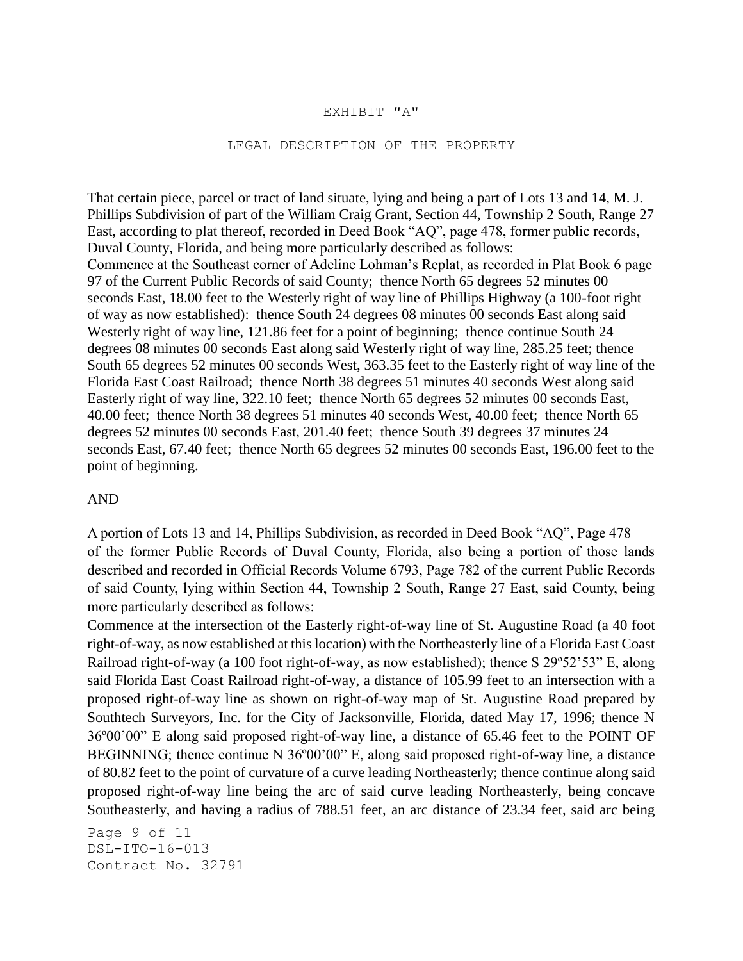# EXHIBIT "A"

# LEGAL DESCRIPTION OF THE PROPERTY

That certain piece, parcel or tract of land situate, lying and being a part of Lots 13 and 14, M. J. Phillips Subdivision of part of the William Craig Grant, Section 44, Township 2 South, Range 27 East, according to plat thereof, recorded in Deed Book "AQ", page 478, former public records, Duval County, Florida, and being more particularly described as follows: Commence at the Southeast corner of Adeline Lohman's Replat, as recorded in Plat Book 6 page 97 of the Current Public Records of said County; thence North 65 degrees 52 minutes 00 seconds East, 18.00 feet to the Westerly right of way line of Phillips Highway (a 100-foot right of way as now established): thence South 24 degrees 08 minutes 00 seconds East along said Westerly right of way line, 121.86 feet for a point of beginning; thence continue South 24 degrees 08 minutes 00 seconds East along said Westerly right of way line, 285.25 feet; thence South 65 degrees 52 minutes 00 seconds West, 363.35 feet to the Easterly right of way line of the Florida East Coast Railroad; thence North 38 degrees 51 minutes 40 seconds West along said Easterly right of way line, 322.10 feet; thence North 65 degrees 52 minutes 00 seconds East, 40.00 feet; thence North 38 degrees 51 minutes 40 seconds West, 40.00 feet; thence North 65 degrees 52 minutes 00 seconds East, 201.40 feet; thence South 39 degrees 37 minutes 24 seconds East, 67.40 feet; thence North 65 degrees 52 minutes 00 seconds East, 196.00 feet to the point of beginning.

# AND

A portion of Lots 13 and 14, Phillips Subdivision, as recorded in Deed Book "AQ", Page 478 of the former Public Records of Duval County, Florida, also being a portion of those lands described and recorded in Official Records Volume 6793, Page 782 of the current Public Records of said County, lying within Section 44, Township 2 South, Range 27 East, said County, being more particularly described as follows:

Commence at the intersection of the Easterly right-of-way line of St. Augustine Road (a 40 foot right-of-way, as now established at this location) with the Northeasterly line of a Florida East Coast Railroad right-of-way (a 100 foot right-of-way, as now established); thence S 29º52'53" E, along said Florida East Coast Railroad right-of-way, a distance of 105.99 feet to an intersection with a proposed right-of-way line as shown on right-of-way map of St. Augustine Road prepared by Southtech Surveyors, Inc. for the City of Jacksonville, Florida, dated May 17, 1996; thence N 36º00'00" E along said proposed right-of-way line, a distance of 65.46 feet to the POINT OF BEGINNING; thence continue N 36°00'00" E, along said proposed right-of-way line, a distance of 80.82 feet to the point of curvature of a curve leading Northeasterly; thence continue along said proposed right-of-way line being the arc of said curve leading Northeasterly, being concave Southeasterly, and having a radius of 788.51 feet, an arc distance of 23.34 feet, said arc being

Page 9 of 11 DSL-ITO-16-013 Contract No. 32791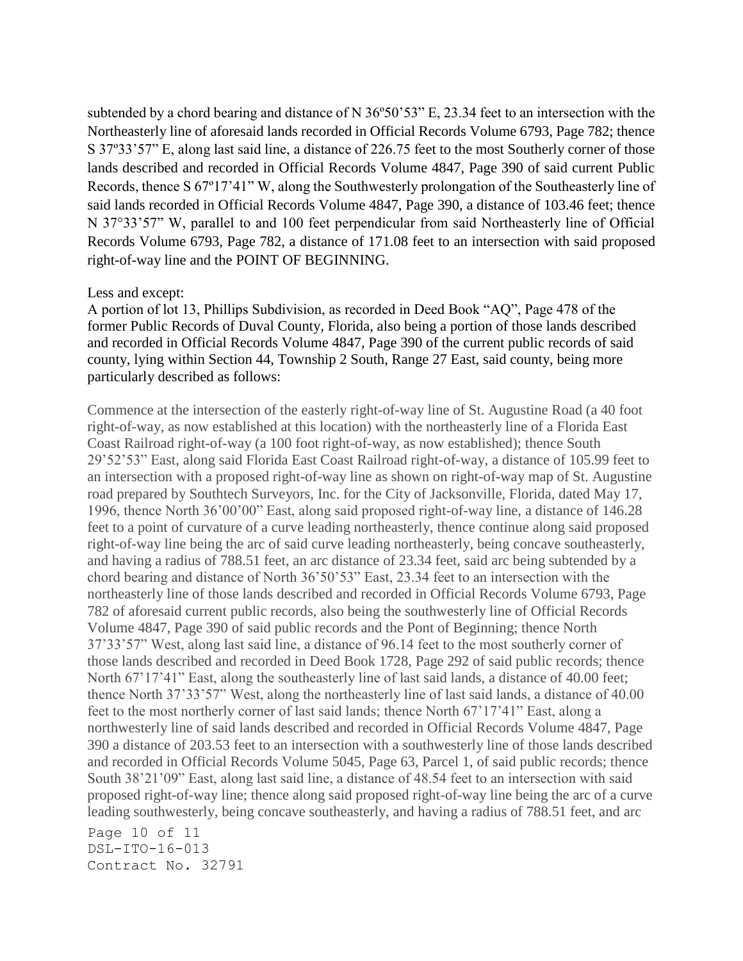subtended by a chord bearing and distance of N 36º50'53" E, 23.34 feet to an intersection with the Northeasterly line of aforesaid lands recorded in Official Records Volume 6793, Page 782; thence S 37º33'57" E, along last said line, a distance of 226.75 feet to the most Southerly corner of those lands described and recorded in Official Records Volume 4847, Page 390 of said current Public Records, thence S 67º17'41" W, along the Southwesterly prolongation of the Southeasterly line of said lands recorded in Official Records Volume 4847, Page 390, a distance of 103.46 feet; thence N 37°33'57" W, parallel to and 100 feet perpendicular from said Northeasterly line of Official Records Volume 6793, Page 782, a distance of 171.08 feet to an intersection with said proposed right-of-way line and the POINT OF BEGINNING.

# Less and except:

A portion of lot 13, Phillips Subdivision, as recorded in Deed Book "AQ", Page 478 of the former Public Records of Duval County, Florida, also being a portion of those lands described and recorded in Official Records Volume 4847, Page 390 of the current public records of said county, lying within Section 44, Township 2 South, Range 27 East, said county, being more particularly described as follows:

Commence at the intersection of the easterly right-of-way line of St. Augustine Road (a 40 foot right-of-way, as now established at this location) with the northeasterly line of a Florida East Coast Railroad right-of-way (a 100 foot right-of-way, as now established); thence South 29'52'53" East, along said Florida East Coast Railroad right-of-way, a distance of 105.99 feet to an intersection with a proposed right-of-way line as shown on right-of-way map of St. Augustine road prepared by Southtech Surveyors, Inc. for the City of Jacksonville, Florida, dated May 17, 1996, thence North 36'00'00" East, along said proposed right-of-way line, a distance of 146.28 feet to a point of curvature of a curve leading northeasterly, thence continue along said proposed right-of-way line being the arc of said curve leading northeasterly, being concave southeasterly, and having a radius of 788.51 feet, an arc distance of 23.34 feet, said arc being subtended by a chord bearing and distance of North 36'50'53" East, 23.34 feet to an intersection with the northeasterly line of those lands described and recorded in Official Records Volume 6793, Page 782 of aforesaid current public records, also being the southwesterly line of Official Records Volume 4847, Page 390 of said public records and the Pont of Beginning; thence North 37'33'57" West, along last said line, a distance of 96.14 feet to the most southerly corner of those lands described and recorded in Deed Book 1728, Page 292 of said public records; thence North 67'17'41" East, along the southeasterly line of last said lands, a distance of 40.00 feet; thence North 37'33'57" West, along the northeasterly line of last said lands, a distance of 40.00 feet to the most northerly corner of last said lands; thence North 67'17'41" East, along a northwesterly line of said lands described and recorded in Official Records Volume 4847, Page 390 a distance of 203.53 feet to an intersection with a southwesterly line of those lands described and recorded in Official Records Volume 5045, Page 63, Parcel 1, of said public records; thence South 38'21'09" East, along last said line, a distance of 48.54 feet to an intersection with said proposed right-of-way line; thence along said proposed right-of-way line being the arc of a curve leading southwesterly, being concave southeasterly, and having a radius of 788.51 feet, and arc

Page 10 of 11 DSL-ITO-16-013 Contract No. 32791